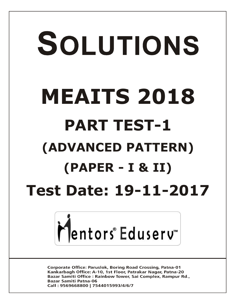# SOLUTIONS **MEAITS 2018 PART TEST-1 (ADVANCED PATTERN) (PAPER - I & II) Test Date: 19-11-2017**



**Corporate Office: Paruslok, Boring Road Crossing, Patna-01** Kankarbagh Office: A-10, 1st Floor, Patrakar Nagar, Patna-20 Bazar Samiti Office: Rainbow Tower, Sai Complex, Rampur Rd., **Bazar Samiti Patna-06** Call: 9569668800 | 7544015993/4/6/7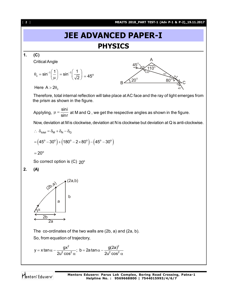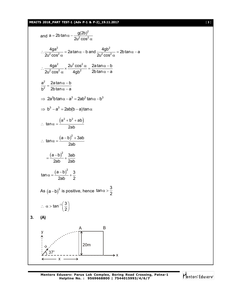#### **MEAITS 2018\_PART TEST-1 (Adv P-1 & P-2)\_19.11.2017** [ **3** ]



Mentors Eduserv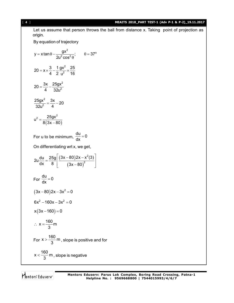## [ **4** ] **MEAITS 2018\_PART TEST-1 (Adv P-1 & P-2)\_19.11.2017**

Let us assume that person throws the ball from distance x. Taking point of projection as origin.

By equation of trajectory

$$
y = x \tan \theta - \frac{gx^{2}}{2u^{2} \cos^{2} \theta}; \qquad \theta = 37^{\circ}
$$
  
\n
$$
20 = x \times \frac{3}{4} - \frac{1}{2} \frac{gx^{2}}{u^{2}} \times \frac{25}{16}
$$
  
\n
$$
20 = \frac{3x}{4} - \frac{25gx^{2}}{32u^{2}}
$$
  
\n
$$
\frac{25gx^{2}}{32u^{2}} = \frac{3x}{4} - 20
$$
  
\n
$$
u^{2} = \frac{25gx^{2}}{8(3x - 80)}
$$
  
\nFor u to be minimum,  $\frac{du}{dx} = 0$   
\nOn differentiating wrt x, we get,  
\n
$$
2u \frac{du}{dx} = \frac{25g}{8} \left[ \frac{(3x - 80)2x - x^{2}(3)}{(3x - 80)^{2}} \right]
$$
  
\nFor  $\frac{du}{dx} = 0$   
\n
$$
(3x - 80)2x - 3x^{2} = 0
$$
  
\n
$$
6x^{2} - 160x - 3x^{2} = 0
$$
  
\n
$$
x(3x - 160) = 0
$$
  
\n
$$
\therefore x = \frac{160}{3}m
$$
  
\nFor  $x > \frac{160}{3}m$ , slope is positive and for  
\n
$$
x < \frac{160}{3}m
$$
, slope is negative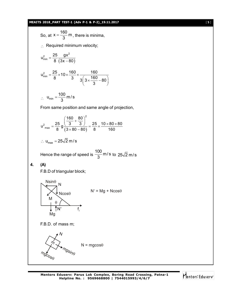MANSZODE-2ATA 183-3 (ATV 2-1 8-22) = 0.11.2017  
\nSo, at x = 
$$
\frac{160}{3}
$$
 m, there is minimum velocity;  
\n $u_{min}^2 = \frac{25}{8} \frac{gx^2}{(3x-80)}$   
\n $u_{min}^2 = \frac{25}{8} \times 10 \times \frac{160}{3} \times \frac{160}{3} \times \frac{160}{3} \times 80$   
\n $\therefore$   $u_{min} = \frac{100}{3}$  m/s  
\nFrom same position and same angle of projection,  
\n $u_{max}^2 = \frac{25}{8} \frac{\left(\frac{160}{3} + \frac{80}{3}\right)^2}{\left(\frac{3 \times 80 - 80}{3}\right)} = \frac{25}{8} \times \frac{10 \times 80 \times 80}{160}$   
\n $\therefore$   $u_{max} = 25\sqrt{2}$  m/s  
\nHence the range of speed is  $\frac{100}{3}$  m/s to  $25\sqrt{2}$  m/s  
\n4. (A)  
\nF.B.D. of triangular block;  
\n $\frac{N\sin\theta}{N}$  N  
\n $\frac{N\sin\theta}{N}$  N  
\nF.B.D. of mass m;  
\n $\frac{M}{N}$  N  
\nF.B.D. of mass m;  
\n $\frac{M}{N}$  N = mgcos $\theta$   
\n $\frac{M}{N_{0}\cos\theta}$  N = mgcos $\theta$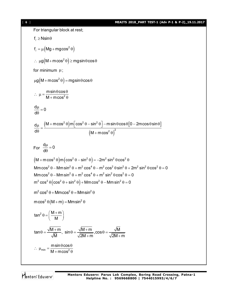For triangular block at rest;  $f_e \geq N \sin \theta$  $f_{\ell} = \mu \left( Mg + mg \cos^2 \theta \right)$  $\therefore \mu g(M + m \cos^2 \theta) \geq mgsin \theta \cos \theta$ for minimum  $\mu$ ;  $\mu$ g $\left($ M + m cos $^{2}$   $\theta$   $\right)$  = mgsin  $\theta$  cos  $\theta$ 2 msin $\theta$ cos  $M + m \cos$  $\therefore \mu = \frac{m \sin \theta \cos \theta}{m}$  $+$  m cos<sup>2</sup>  $\theta$  $\frac{d\mu}{d\Omega} = 0$ d  $\frac{\mu}{\sigma} =$  $\theta$  $(M+m\cos^2\theta)$ m $|\cos^2\theta - \sin^2\theta| - m\sin\theta\cos\theta|$ 0 – 2m $\cos\theta\sin\theta$ ]  $(M + m \cos^2 \theta)$  $^{2}$  0  $^{2}$   $^{2}$  0  $^{2}$   $^{2}$   $^{2}$  $(20)^2$  ${\sf d}\mu \quad \big({\sf M} + {\sf m}\hspace{-0.8pt}\cos^2\theta\big){\sf m}\big[\cos^2\theta - \sin^2\theta\big]$  –  ${\sf m}\hspace{-0.8pt}\sin\theta\hspace{-0.8pt}\cos\theta\big[{\sf 0} - 2{\sf m}\hspace{-0.8pt}\cos\theta\hspace{-0.8pt}\sin\theta\big]$  $d\theta$   $(M+m\cos$  $\frac{\mu}{\rho} = \frac{(M + m \cos^2 \theta) m [\cos^2 \theta - \sin^2 \theta] - m \sin \theta \cos \theta [0 - 2 m \cos \theta \sin \theta]}{2}$  $\theta$   $(M + m \cos^2 \theta)$ For  $\frac{d\mu}{d\Omega} = 0$ d  $\frac{\mu}{\sigma} =$  $\theta$  $(M + m \cos^2 \theta) m (\cos^2 \theta - \sin^2 \theta) = -2m^2 \sin^2 \theta \cos^2 \theta$  $m^2 \cos^2 \theta (\cos^2 \theta + \sin^2 \theta) + Mmcos^2 \theta - Mmsin^2 \theta = 0$ Mmcos<sup>2</sup>  $\theta$  – Mm sin<sup>2</sup>  $\theta$  + m<sup>2</sup> cos<sup>4</sup>  $\theta$  – m<sup>2</sup> cos<sup>2</sup>  $\theta$  sin<sup>2</sup>  $\theta$  + 2m<sup>2</sup> sin<sup>2</sup>  $\theta$  cos<sup>2</sup>  $\theta$  = 0 Mmcos<sup>2</sup>  $\theta$  – Mm sin<sup>2</sup>  $\theta$  + m<sup>2</sup> cos<sup>4</sup>  $\theta$  + m<sup>2</sup> sin<sup>2</sup>  $\theta$  cos<sup>2</sup>  $\theta$  = 0  $m^2 \cos^2 \theta + Mmcos^2 \theta = Mmsin^2 \theta$  $\textsf{mcos}^2 \theta \left( \textsf{M} \textsf{+} \textsf{m} \right) = \textsf{M} \textsf{m} \textsf{sin}^2 \theta$  $\tan^2\theta = \left(\frac{M+m}{M}\right)$ M  $\theta = \left(\frac{M+m}{M}\right)$  $\tan \theta = \frac{\sqrt{\mathsf{M} + \mathsf{m}}}{\sqrt{\mathsf{M}}}, \, \, \sin \theta = \frac{\sqrt{\mathsf{M} + \mathsf{m}}}{\sqrt{\mathsf{M} + \mathsf{m}}}, \cos \theta = \frac{\sqrt{\mathsf{M}}}{\sqrt{\mathsf{M} + \mathsf{m}}}.$ M  $\sqrt{2M+m}$   $\sqrt{2M+m}$  $\theta = \frac{\sqrt{M+m}}{\sqrt{M+m}}, \sin \theta = \frac{\sqrt{M+m}}{\sqrt{M+m}}, \cos \theta = -\frac{1}{2}$  $+m$   $\sqrt{2M+r}$  $min -$ M  $1$   $mod^2$  $m$ sin $\theta$ cos  $M + m \cos$  $\therefore \mu_{\min} = \frac{\text{m} \sin \theta \cos \theta}{\text{m} \cdot \text{m} \cdot \text{m} \cdot \text{m}}$  $+$  <code>mcos $\leq$   $\theta$ </sup></code>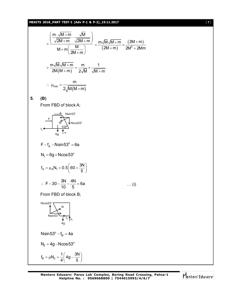# **MEAITS 2018\_PART TEST-1 (Adv P-1 & P-2)\_19.11.2017** [ **7** ]

$$
= \frac{\left(\frac{m \cdot \sqrt{M+m}}{\sqrt{2M+m}} \cdot \frac{\sqrt{M}}{\sqrt{2M+m}}\right)}{M+m \left(\frac{M}{2M+m}\right)} = \frac{m \sqrt{M} \sqrt{M+m}}{(2M+m)} \times \frac{(2M+m)}{2M^2 + 2Mm}
$$
\n
$$
= \frac{m \sqrt{M} \sqrt{M+m}}{2M (M+m)} = \frac{m}{2\sqrt{M}} \times \frac{1}{\sqrt{M+m}}
$$
\n
$$
\therefore \mu_{min} = \frac{m}{2\sqrt{M(M+m)}}
$$
\n5. (B)\nFrom FBD of block A;\n
$$
= \frac{m}{\sqrt{M+m}}
$$
\n
$$
F - f_A - N \sin 53^\circ = 6a
$$
\n
$$
N_1 = 6g + N \cos 53^\circ
$$
\n
$$
f_A = \mu_A N_1 = 0.5 \left(60 + \frac{3N}{5}\right)
$$
\n
$$
\therefore F - 30 - \frac{3N}{10} - \frac{4N}{5} = 6a \qquad \qquad (i)
$$
\nFrom FBD of block B;\n
$$
N \cos 53^\circ
$$
\n
$$
N \sin 53^\circ - f_B = 4a
$$
\n
$$
N_2 = 4g - N \cos 53^\circ
$$
\n
$$
f_B = \mu N_2 = \frac{1}{4} \left( 4g - \frac{3N}{5} \right)
$$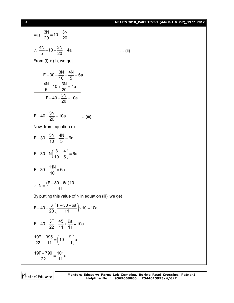# [ **8** ] **MEAITS 2018\_PART TEST-1 (Adv P-1 & P-2)\_19.11.2017**

… (ii)

$$
= g - \frac{3N}{20} = 10 - \frac{3N}{20}
$$
  
\n∴  $\frac{4N}{5} - 10 + \frac{3N}{20} = 4a$   
\nFrom (i) + (ii), we get  
\n
$$
F - 30 - \frac{3N}{10} - \frac{4N}{5} = 6a
$$
  
\n
$$
\frac{4N}{5} - 10 + \frac{3N}{20} = 4a
$$
  
\n
$$
F - 40 - \frac{3N}{20} = 10a
$$
  
\n
$$
F - 40 - \frac{3N}{20} = 10a
$$
 ...(iii)  
\nNow from equation (i)  
\n
$$
F - 30 - \frac{3N}{10} - \frac{4N}{5} = 6a
$$
  
\n
$$
F - 30 - N\left(\frac{3}{10} + \frac{4}{5}\right) = 6a
$$
  
\n
$$
F - 30 - \frac{11N}{10} = 6a
$$
  
\n∴  $N = \frac{(F - 30 - 6a)10}{11}$   
\nBy putting this value of N in equation (iii), we get  
\n
$$
F - 40 - \frac{3}{5}(F - 30 - 6a) \times 10 = 10a
$$

$$
F-40-\frac{3}{20}\left(\frac{F-30-6a}{11}\right) \times 10 = 10a
$$
  
F-40-\frac{3F}{22}+\frac{45}{11}+\frac{9a}{11} = 10a  

$$
\frac{19F}{22}-\frac{395}{11} = \left(10-\frac{9}{11}\right)a
$$

$$
\frac{19F-790}{22} = \frac{101}{11}a
$$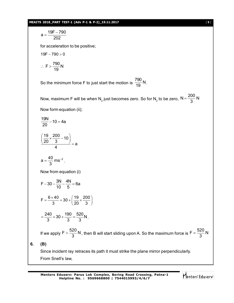#### **MEAITS 2018\_PART TEST-1 (Adv P-1 & P-2)\_19.11.2017** [ **9** ]

a = 
$$
\frac{19F-790}{202}
$$
  
\nfor acceleration to be positive;  
\n
$$
19F-790 > 0
$$
  
\n
$$
\therefore F > \frac{790}{19} N
$$
  
\nSo the minimum force F to just start the motion is  $\frac{790}{19} N$ .  
\nNow, maximum F will be when N<sub>2</sub> just becomes zero. So for N<sub>2</sub> to be zero, N =  $\frac{200}{3} N$   
\nNow form equation (ii);  
\n
$$
\frac{19N}{20} - 10 = 4a
$$
  
\n
$$
\left(\frac{19}{20} \times \frac{200}{3} - 10\right) = a
$$
  
\n
$$
a = \frac{40}{3} ms^{-2}.
$$
  
\nNow from equation (i)  
\n
$$
F - 30 - \frac{3N}{10} - \frac{4N}{5} = 6a
$$
  
\n
$$
F = \frac{6 \times 40}{3} + 30 + \left(\frac{19}{20} \times \frac{200}{3}\right)
$$
  
\n
$$
= \frac{240}{3} + 30 + \frac{190}{3} = \frac{520}{3} N.
$$
  
\nIf we apply  $F > \frac{520}{3} N$ , then B will start sliding upon A. So the maximum force is  $F = \frac{520}{3} N$   
\n(B)  
\nSince incident ray retraces its path it must strike the plane mirror perpendiculary.  
\nFrom Snell's law,

**6. (B)**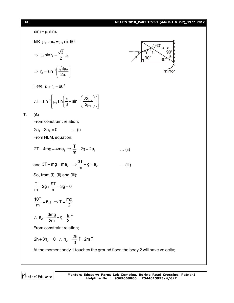$$
1101
$$
  
\n
$$
sini = \mu_1 sinr_1
$$
  
\nand  $\mu_1 sinr_2 = \mu_2 sin 60^\circ$   
\n
$$
\Rightarrow \mu_1 sinr_2 = \frac{\sqrt{3}}{2} \mu_2
$$
  
\n
$$
\Rightarrow r_2 = sin^{-1}(\frac{\sqrt{3}\mu_2}{2\mu_1})
$$
  
\nHere, r<sub>1</sub>+r<sub>2</sub> = 60°  
\n∴ i = sin<sup>-1</sup>[ $\mu_1 sin(\frac{\pi}{3} - sin^{-1}(\frac{\sqrt{3}\mu_2}{2\mu_1}))$  mirror  
\n
$$
2\pi + 3a_2 = 0
$$
 ...(i)  
\nFrom constraint relation;  
\n $2a_1 + 3a_2 = 0$  ...(i)  
\nFrom NLM, equation;  
\n $2T - 4mg = 4ma_1 \Rightarrow \frac{T}{m} - 2g = 2a_1$  ...(ii)  
\nand 3T – mg = ma<sub>2</sub> ⇒  $\frac{3T}{m} - g = a_2$  ...(iii)  
\nSo, from (i), (ii) and (iii);  
\n $\frac{T}{m} - 2g + \frac{9T}{m} - 3g = 0$   
\n $\frac{10T}{m} = 5g \Rightarrow T = \frac{mg}{2}$   
\n∴ a<sub>2</sub> =  $\frac{3mg}{2m} - g = \frac{g}{2} \uparrow$   
\nFrom constraint relation;

Mentors Eduserv

 $2h + 3h_2 = 0$  :  $h_2 = \frac{2h}{3}$   $\uparrow = 2m$ 

+ 3h<sub>2</sub> = 0 : h<sub>2</sub> =  $\frac{241}{2}$  T = 2m T

3

At the moment body 1 touches the ground floor, the body 2 will have velocity;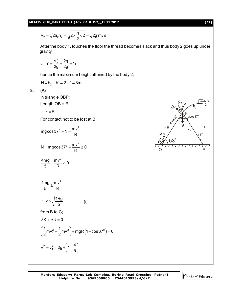## **MEAITS 2018\_PART TEST-1 (Adv P-1 & P-2)\_19.11.2017** [ **11** ]

$$
v_2 = \sqrt{2a_2h_2} = \sqrt{2 \times \frac{g}{2} \times 2} = \sqrt{2g} \text{ m/s}
$$

After the body 1, touches the floor the thread becomes slack and thus body 2 goes up under gravity.

$$
\therefore h' = \frac{v_2^2}{2g} = \frac{2g}{2g} = 1m
$$

hence the maximum height attained by the body 2,

$$
H = h_2 + h' = 2 + 1 = 3m.
$$

# **8. (A)**

In triangle OBP;

Length  $OB = R$ 

$$
\therefore \ \ell = R
$$

For contact not to be lost at B,

$$
mg\cos 37^\circ - N = \frac{mv^2}{R}
$$

$$
N = mg\cos 37^\circ - \frac{mv^2}{R} \ge 0
$$

$$
\frac{4mg}{5} - \frac{mv^2}{R} \ge 0
$$

$$
\frac{4mg}{5} \ge \frac{mv^2}{R}
$$
  
\n
$$
\therefore v \le \sqrt{\frac{4Rg}{5}}
$$
 ... (i)  
\nfrom B to C;  
\n
$$
\Delta K + \Delta U = 0
$$
  
\n
$$
(1, 2, 1, 2) = (4, 1, 2) = 0
$$

$$
\left(\frac{1}{2}mv_1^2 - \frac{1}{2}mv^2\right) + mgR\left(1 - \cos 37^\circ\right) = 0
$$
  

$$
v^2 = v_1^2 + 2gR\left(1 - \frac{4}{5}\right)
$$

$$
\begin{array}{ccc}\n & & N_1 \\
 & & N_2 \\
 & & N_3\n\end{array}
$$

$$
\bigvee^i\mathsf{entors}^*\,\mathsf{Eduserv}^*
$$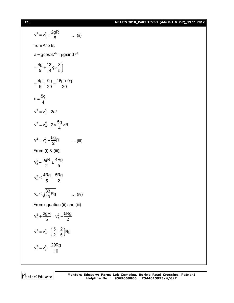# [ **12** ] **MEAITS 2018\_PART TEST-1 (Adv P-1 & P-2)\_19.11.2017**

$$
v^{2} = v_{1}^{2} + \frac{2gR}{5} \qquad ... (ii)
$$
  
from A to B;  

$$
a = g\cos 37^{\circ} + \mu g\sin 37^{\circ}
$$

$$
= \frac{4g}{5} + \left(\frac{3}{4}g \times \frac{3}{5}\right)
$$

$$
= \frac{4g}{5} + \frac{9g}{20} = \frac{16g + 9g}{20}
$$

$$
a = \frac{5g}{4}
$$

$$
v^{2} = v_{0}^{2} - 2a\ell
$$

$$
v^{2} = v_{0}^{2} - 2 \times \frac{5g}{4} \times R
$$

$$
v^{2} = v_{0}^{2} - \frac{5g}{2}R \qquad ... (iii)
$$
From (i) & (iii);
$$
v_{0}^{2} - \frac{5gR}{2} \le \frac{4Rg}{5}
$$

$$
v_{0}^{2} \le \frac{4Rg}{5} + \frac{5Rg}{2}
$$

$$
v_{0} \le \sqrt{\frac{33}{10}}Rg \qquad ... (iv)
$$
From equation (ii) and (iii)
$$
v_{1}^{2} + \frac{2gR}{5} = v_{0}^{2} - \frac{5Rg}{2}
$$

$$
v_{1}^{2} = v_{0}^{2} - \left(\frac{5}{2} + \frac{2}{5}\right)Rg
$$

$$
v_{1}^{2} = v_{0}^{2} - \frac{29Rg}{10}
$$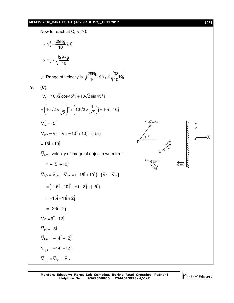# **MEAITS 2018\_PART TEST-1 (Adv P-1 & P-2)\_19.11.2017** [ **13** ]

Now to reach at C; 
$$
v_1 \ge 0
$$
  
\n $\Rightarrow v_o^2 - \frac{29Rg}{10} \ge 0$   
\n $\Rightarrow v_o \ge \sqrt{\frac{29Rg}{10}}$   
\n $\therefore$  Range of velocity is  $\sqrt{\frac{29Rg}{10}} \le v_o \le \sqrt{\frac{33}{10}Rg}$   
\n9. (C)  
\n $\nabla_p = 10\sqrt{2} \cos 45^\circ \hat{i} + 10\sqrt{2} \sin 45^\circ \hat{j}$   
\n $= (10\sqrt{2} \times \frac{1}{\sqrt{2}}) \hat{i} + (10\sqrt{2} \times \frac{1}{\sqrt{2}}) \hat{i} = 10 \hat{i} + 10 \hat{j}$   
\n $V_m = -5 \hat{i}$   
\n $\nabla_{pm} = \nabla_p - \nabla_m = 10 \hat{i} + 10 \hat{j} - (-5 \hat{i})$   
\n $= 15 \hat{i} + 10 \hat{j}$   
\n $\nabla_{km} = \text{velocity of image of object p wrt mirror}$   
\n $= -15 \hat{i} + 10 \hat{j}$   
\n $\nabla_{k} = \nabla_{km} - \nabla_{mn} = (-15 \hat{i} + 10 \hat{j}) - (\nabla_p - \nabla_m)$   
\n $= (-15 \hat{i} + 10 \hat{j}) - 6 \hat{i} - 8 \hat{j} + (-5 \hat{i})$   
\n $= -16 \hat{i} - 11 \hat{i} + 2 \hat{j}$   
\n $\nabla_{\alpha} = 9 \hat{i} - 12 \hat{j}$   
\n $\nabla_m = -14 \hat{i} - 12 \hat{j}$   
\n $\nabla_{nm} = -14 \hat{i} - 12 \hat{j}$   
\n $\nabla_{nm} = -14 \hat{i} - 12 \hat{j}$   
\n $\nabla_{nm} = -14 \hat{i} - 12 \hat{j}$   
\n $\nabla_{nm} = -\nabla_{nm} - \nabla_{nm}$ 

Mentors<sup>e</sup> Eduserv<sup>-</sup>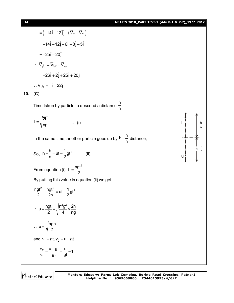$$
= (-14\hat{i} - 12\hat{j}) - (\vec{V} \circ - \vec{V} \circ )
$$
  
\n
$$
= -14\hat{i} - 12\hat{j} - 6\hat{i} - 8\hat{j} - 5\hat{i}
$$
  
\n
$$
= -25\hat{i} - 20\hat{j}
$$
  
\n
$$
\therefore \ \nabla_{l_0 l_0} = \nabla_{l_0 0} - \nabla_{l_0 0}
$$
  
\n
$$
= -26\hat{i} + 2\hat{j} + 25\hat{i} + 20\hat{j}
$$
  
\n
$$
\therefore \ \nabla_{l_0 l_0} = -\hat{i} + 22\hat{j}
$$

**10. (C)**

Time taken by particle to descend a distance h  $\frac{1}{n}$ ,

$$
t = \sqrt{\frac{2h}{ng}} \qquad \qquad \dots (i)
$$

In the same time, another particle goes up by  $h-\frac{h}{h}$  $-\frac{11}{n}$  distance,

So, 
$$
h - \frac{h}{n} = ut - \frac{1}{2}gt^2
$$
 ... (ii)

From equation (i); 
$$
h = \frac{\text{ngt}^2}{2}
$$

By putting this value in equation (ii) we get,

$$
\frac{ngt^2}{2} - \frac{ngt^2}{2n} = ut - \frac{1}{2}gt^2
$$
  
∴ 
$$
u = \frac{ngt}{2} = \sqrt{\frac{n^2g^2}{4} \times \frac{2h}{ng}}
$$
  
∴ 
$$
u = \sqrt{\frac{ngh}{2}}
$$
  
and 
$$
v_1 = gt, v_2 = u - gt
$$

$$
\frac{v_2}{v_1} = \frac{u - gt}{gt} = \frac{u}{gt} - 1
$$

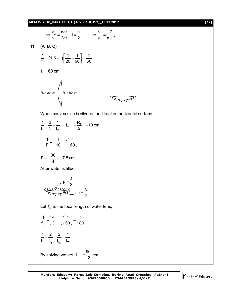**MEAITS 2018\_PART TEST-1 (Adv P-1 & P-2)\_19.11.2017** [ **15** ]

$$
\Rightarrow \frac{v_2}{v_1} = \frac{ngt}{2gt} - 1 = \frac{n}{2} - 1 \qquad \Rightarrow \frac{v_1}{v_2} = \frac{2}{n-2}
$$
  
\n11. **(A, B, C)**  
\n
$$
\frac{1}{t_{\ell}} = (1.5 - 1) \left[ \frac{1}{20} - \frac{1}{60} \right] = \frac{1}{60}
$$
  
\n
$$
f_{\ell} = 60 \text{ cm}
$$
  
\n
$$
R_1 = 20 \text{ cm}
$$
  
\n
$$
R_1 = 20 \text{ cm}
$$
  
\nWhen convex side is silvered and kept on horizontal surface,  
\n
$$
\frac{1}{F} = \frac{2}{f_{\ell}} - \frac{1}{f_{\rm m}}, \quad f_{\rm m} = -\frac{R_1}{2} = -10 \text{ cm}
$$
  
\n
$$
\therefore \frac{1}{F} = -\frac{1}{10} - 2\left(\frac{1}{60}\right)
$$
  
\n
$$
F = -\frac{30}{4} = -7.5 \text{ cm}
$$
  
\nAfter water is filled :  
\n
$$
\mu = \frac{4}{3}
$$
  
\n
$$
\frac{4}{1 + \frac{1}{f_{\ell_1}}} = \left(\frac{4}{3} - 1\right) \left(\frac{1}{60}\right) = \frac{1}{180}
$$
  
\n
$$
\frac{1}{F} = \frac{2}{f_{\ell_1}} - \frac{2}{f_{\ell_2}} - \frac{1}{f_{\rm m}}
$$
  
\nBy solving we get,  $F = -\frac{90}{13}$  cm.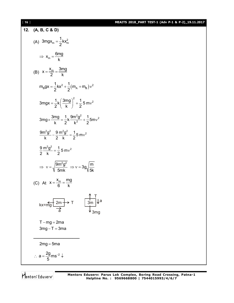# [ **16** ] **MEAITS 2018\_PART TEST-1 (Adv P-1 & P-2)\_19.11.2017**

12. (A, B, C & D)  
\n(A) 3mgx<sub>m</sub> = 
$$
\frac{1}{2}kx_m^2
$$
  
\n⇒  $x_m = \frac{6mg}{k}$   
\n(B)  $x = \frac{x_m}{2} = \frac{3mg}{k}$   
\n $m_Bgx = \frac{1}{2}kx^2 + \frac{1}{2}(m_A + m_B)v^2$   
\n $3mgx = \frac{1}{2}k(\frac{3mg}{k})^2 + \frac{1}{2}5mv^2$   
\n $3mg \times \frac{3mg}{k} = \frac{1}{2}k \frac{9m^2g^2}{k^2} + \frac{1}{2}5mv^2$   
\n $\frac{9m^2g^2}{k} - \frac{9}{2} \frac{m^2g^2}{k} = \frac{1}{2}5mv^2$   
\n $\Rightarrow v = \sqrt{\frac{9m^2g^2}{5mk}} \Rightarrow v = 3g\sqrt{\frac{m}{5k}}$   
\n(C) At  $x = \frac{x_m}{6} = \frac{mg}{k}$   
\n $kx = mg \frac{2m}{a} \Rightarrow T$   
\n $kx = mg \frac{2m}{a} \Rightarrow T$   
\n $\frac{3m}{a} \text{ J}$   
\n $T - mg = 2ma$   
\n $3mg - T = 3ma$   
\n $\therefore a = \frac{2g}{5}ms^{-2} \downarrow$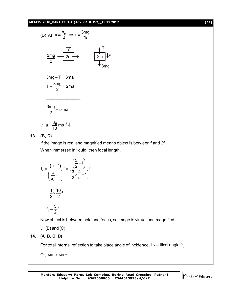#### **MEAITS 2018\_PART TEST-1 (Adv P-1 & P-2)\_19.11.2017** [ **17** ]

(D) At 
$$
x = \frac{x_m}{4} \Rightarrow x = \frac{3mg}{2k}
$$
  

$$
\frac{3mg}{2} \leftarrow \frac{2m}{2m} \rightarrow T
$$

$$
\frac{3m}{2} \downarrow a
$$

$$
\frac{3mg}{2} \leftarrow \frac{2m}{2m} \rightarrow T
$$

$$
3mg - T = 3ma
$$

$$
T - \frac{3mg}{2} = 2ma
$$

\_\_\_\_\_\_\_\_\_\_\_\_\_\_\_

$$
\frac{3mg}{2} = 5 \text{ ma}
$$

$$
\therefore a = \frac{3g}{10} \, \text{ms}^{-2} \, \text{J}
$$

**13. (B, C)**

If the image is real and magnified means object is between f and 2f. When immersed in liquid, then focal length,

$$
f_{\ell} = \frac{(\mu - 1)}{\left(\frac{\mu}{\mu_{\ell}} - 1\right)} f = \frac{\left(\frac{3}{2} - 1\right)}{\left(\frac{3}{2} \times \frac{4}{5} - 1\right)} f
$$

$$
= \frac{1}{2} \times \frac{10}{2} f
$$

$$
f_{\ell} = \frac{5}{2} f
$$

Now object is between pole and focus, so image is virtual and magnified.

$$
\therefore (B) \text{ and } (C)
$$

$$
14. (A, B, C, D)
$$

For total internal reflection to take place angle of incidence,  $\:$   $>$  critical angle  $\theta_{\rm c}$ 

Or,  $\sin i > \sin \theta_c$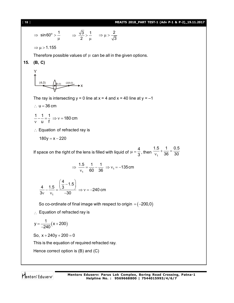#### [ **18** ] **MEAITS 2018\_PART TEST-1 (Adv P-1 & P-2)\_19.11.2017**

$$
\Rightarrow \sin 60^{\circ} > \frac{1}{\mu} \qquad \Rightarrow \frac{\sqrt{3}}{2} > \frac{1}{\mu} \qquad \Rightarrow \mu > \frac{2}{\sqrt{3}}
$$

 $\Rightarrow \mu$  > 1.155

Therefore possible values of  $\mu$  can be all in the given options.

# **15. (B, C)**

Y  
(4,0)  

$$
(4,0)
$$
  
(0,0) (220,0)  
X

The ray is intersecting  $y = 0$  line at  $x = 4$  and  $x = 40$  line at  $y = -1$ 

 $\therefore$  u = 36 cm

$$
\frac{1}{v} - \frac{1}{u} = \frac{1}{f} \Rightarrow v = 180 \text{ cm}
$$

 $\therefore$  Equation of refracted ray is

 $180y = x - 220$ 

If space on the right of the lens is filled with liquid of 4  $\mu = \frac{1}{3}$ , then  $\frac{1}{v_1}$  $1.5$  1 0.5 36 30  $+\frac{1}{22}$  = - $\mathsf{v}$ 

$$
\Rightarrow \frac{1.5}{v_1} = \frac{1}{60} - \frac{1}{36} \Rightarrow v_1 = -135 \text{ cm}
$$

$$
\frac{4}{3v} - \frac{1.5}{v_1} = \frac{\left(\frac{4}{3} - 1.5\right)}{-30} \Rightarrow v = -240 \text{ cm}
$$

So co-ordinate of final image with respect to origin  $=$   $(-200,0)$ 

 $\therefore$  Equation of refracted ray is

$$
y = \frac{1}{-240}(x + 200)
$$

So,  $x + 240y + 200 = 0$ 

This is the equation of required refracted ray.

Hence correct option is (B) and (C)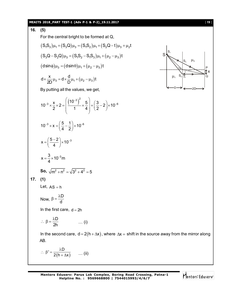#### **MEAITS 2018\_PART TEST-1 (Adv P-1 & P-2)\_19.11.2017** [ **19** ]

16. (5)  
\nFor the central bright to be formed at Q,  
\n
$$
(S_1S_3)\mu_1 + (S_3Q)\mu_3 = (S_1S_2)\mu_1 + (S_2Q-t)\mu_3 + \mu_2t
$$
  
\n $(S_3Q-S_2Q)\mu_3 = (S_1S_2-S_1S_3)\mu_1 + (\mu_2-\mu_3)t$   
\n $(d\sin\theta)\mu_3 = (d\sin\theta)\mu_1 + (\mu_2-\mu_3)t$   
\n $d \times \frac{x}{2D}\mu_3 = d \times \frac{d}{D}\mu_1 + (\mu_2-\mu_3)t$   
\nBy putting all the values, we get,  
\n $10^{-3} \times \frac{x}{2} \times 2 = \left(\frac{(10^{-3})^2}{1} \times \frac{5}{4}\right) + \left(\frac{3}{2} - 2\right) \times 10^{-6}$   
\n $x = \left(\frac{5-2}{4}\right) \times 10^{-3}$   
\n $x = \frac{3}{4} \times 10^{-3}m$   
\nSo,  $\sqrt{m^2 + n^2} = \sqrt{3^2 + 4^2} = 5$   
\n17. (1)  
\nLet, AS = h  
\nNow,  $\beta = \frac{\lambda D}{d}$   
\nIn the first care,  $d = 2h$   
\n $\therefore \beta = \frac{\lambda D}{2h}$  ... (i)  
\nIn the second care,  $d = 2(h + \Delta x)$ , where  $\Delta x = shift in the source away from the mirror along AB.\n $\therefore \beta^2 = \frac{\lambda D}{2(h + \Delta x)}$  ... (ii)$ 

$$
\begin{array}{c|c}\nS \\
\downarrow \\
\downarrow \\
\downarrow \\
\downarrow \\
\downarrow\n\end{array}
$$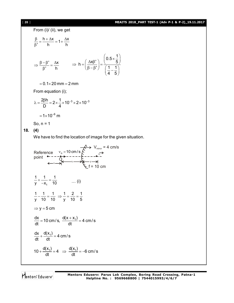#### [ **20** ] **MEAITS 2018\_PART TEST-1 (Adv P-1 & P-2)\_19.11.2017**

From (i)/ (ii), we get  $\frac{h + \Delta x}{i} = 1 + \frac{\Delta x}{i}$ ' h h  $\frac{\beta}{\beta} = \frac{h + \Delta x}{l} = 1 + \frac{\Delta x}{l}$ β '  $\Delta$ x ' h  $\Rightarrow \frac{\beta - \beta'}{\beta} = \frac{\Delta x}{\beta}$ β h =  $\left(\frac{\Delta x \beta'}{\beta - \beta'}\right) = \frac{\left(0.5 \times \frac{1}{5}\right)}{\left(1 + 1\right)^2}$ 4 5  $\left(0.5 \times \frac{1}{5}\right)$  $\Rightarrow h = \left(\frac{\Delta x \beta'}{\beta - \beta'}\right) = \frac{\left(\frac{3}{2} \times 10^{-10}\right)}{\left(\frac{1}{4} - \frac{1}{5}\right)}$  $= 0.1 \times 20$  mm  $= 2$  mm From equation (i);

$$
\lambda = \frac{2\beta h}{D} = 2 \times \frac{1}{4} \times 10^{-3} \times 2 \times 10^{-3}
$$

$$
= 1 \times 10^{-6} \text{ m}
$$

So,  $n = 1$ 

## **18. (4)**

We have to find the location of image for the given situation.

Reference 
$$
v_0 = 10 \text{ cm/s}
$$
  
\npoint  
\n $\leftarrow x \rightarrow 10 \text{ cm/s}$   
\n $\leftarrow x \rightarrow 10 \text{ cm/s}$   
\n $\leftarrow x \rightarrow 10 \text{ cm}$   
\n $\leftarrow x \rightarrow 10 \text{ cm}$   
\n $\frac{1}{y} + \frac{1}{-x_1} = \frac{1}{10}$  ... (i)  
\n $\frac{1}{y} - \frac{1}{10} = \frac{1}{10} \Rightarrow \frac{1}{y} = \frac{2}{10} = \frac{1}{5}$   
\n $\Rightarrow y = 5 \text{ cm}$   
\n $\frac{dx}{dt} = 10 \text{ cm/s}, \frac{d(x + x_1)}{dt} = 4 \text{ cm/s}$   
\n $\frac{dx}{dt} + \frac{d(x_1)}{dt} = 4 \text{ cm/s}$   
\n $10 + \frac{d(x_1)}{dt} = 4 \Rightarrow \frac{d(x_1)}{dt} = -6 \text{ cm/s}$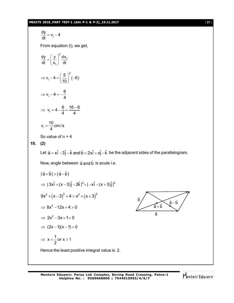# **MEAITS 2018\_PART TEST-1 (Adv P-1 & P-2)\_19.11.2017** [ **21** ]

$$
\frac{dy}{dt} = v_i - 4
$$
  
\nFrom equation (i), we get,  
\n
$$
\frac{dy}{dt} = \left(\frac{y}{x_i}\right)^2 \frac{dx_i}{dt}
$$
\n⇒ 
$$
v_i - 4 = \left(\frac{5}{10}\right)^2 (-6)
$$
\n⇒ 
$$
v_i - 4 = -\frac{6}{4}
$$
\n⇒ 
$$
v_i = 4 - \frac{6}{4} = \frac{16 - 6}{4}
$$
\n
$$
v_i = \frac{10}{4} \text{ cm/s}
$$
\nSo value of n = 4  
\n19. (2)  
\nLet  $\vec{a} = x\hat{i} - 3\hat{j} - \hat{k}$  and  $\vec{b} = 2x\hat{i} + x\hat{j} - \hat{k}$  be the adjacent sides of the parallelogram.  
\nNow, angle between  $\vec{a}$  and  $\vec{b}$  is acute i.e.  
\n
$$
|\vec{a} + \vec{b}| > |\vec{a} - \vec{b}|
$$
\n⇒ 
$$
|3x\hat{i} + (x-3)\hat{j} - 2\hat{k}|^2 > |-x\hat{i} - (x+3)\hat{j}|^2
$$
\n
$$
9x^2 + (x-3)^2 + 4 > x^2 + (x+3)^2
$$
\n⇒ 
$$
8x^2 - 12x + 4 > 0
$$
\n⇒ 
$$
2x^2 - 3x + 1 > 0
$$
\n⇒ 
$$
2x^2 - 3x + 1 > 0
$$
\n⇒ 
$$
2x - 1/(x - 1) > 0
$$
\n⇒ 
$$
x < \frac{1}{2}
$$
 or 
$$
x > 1
$$
\nHence the least positive integral value is 2.

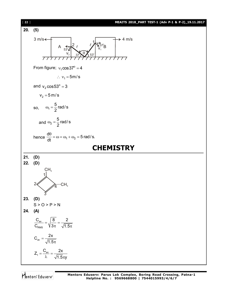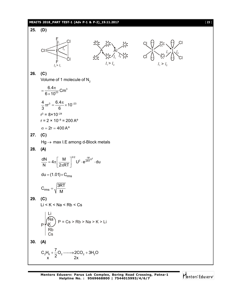#### **MEAITS 2018\_PART TEST-1 (Adv P-1 & P-2)\_19.11.2017** [ **23** ]

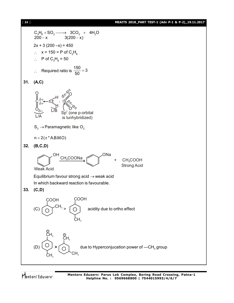#### [ **24** ] **MEAITS 2018\_PART TEST-1 (Adv P-1 & P-2)\_19.11.2017**

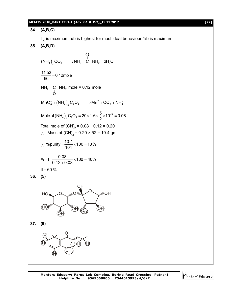#### **MEAITS 2018\_PART TEST-1 (Adv P-1 & P-2)\_19.11.2017** [ **25** ]

34. (**A,B,C**)  
\nT<sub>c</sub> is maximum a/b is highest for most ideal behaviour 1/b is maximum.  
\n35. (**A,B,D**)  
\n
$$
(NHA)2 CO3 → NH2 – C – NH2 + 2H2O
$$
\n
$$
\frac{11.52}{96} = 0.12 \text{mole}
$$
\n
$$
NH2 – C–NH2 mole = 0.12 mole
$$
\n
$$
MnO42 + (NH4)2 C2O4 → Mn2 + CO2 + NH42
$$
\n
$$
MnO42 + (NH4)2 C2O4 → Mn2 + CO2 + NH42
$$
\n
$$
MnO42 + (NH4)2 C2O4 → 2V + 6V22 + 103 = 0.08
$$
\n
$$
Total mole of (CN)2 = 0.20 \times 52 = 10.4 gm
$$
\n
$$
% purity = \frac{10.4}{104} \times 100 = 10%
$$
\nFor 1  $\frac{0.08}{0.12 + 0.08} \times 100 = 40%$   
\n1H = 60 %  
\n36. (5)  
\nHQ  
\n $W$   
\n $W$   
\n $W$   
\n $W$   
\n $W$   
\n $W$   
\n $W$   
\n $W$   
\n $W$   
\n $W$   
\n $W$   
\n $W$   
\n $W$   
\n $W$   
\n $W$   
\n $W$   
\n

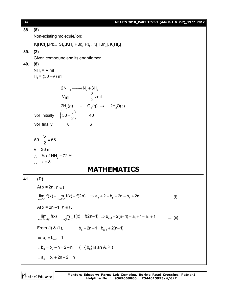[ **26** ] **MEAITS 2018\_PART TEST-1 (Adv P-1 & P-2)\_19.11.2017 38. (8)** Non-existing molecule/ion;  $\mathsf{K}[\mathsf{HCl}_2], \mathsf{PbI}_4, \mathsf{SI}_6, \mathsf{KH}_3, \mathsf{PBr}_6^-, \mathsf{PI}_5, \mathsf{K}[\mathsf{HBr}_2], \mathsf{K}[\mathsf{HI}_2]$ **39. (2)** Given compound and its enantiomer. **40. (8)**  $NH<sub>3</sub> = V ml$  $H_2 = (50 - V)$  ml  $2NH_3 \longrightarrow N_2 + 3H_2$  $2(9)$   $\sqrt{2(9)}$   $\sqrt{2(9)}$  $V_{\text{ml}}$   $\frac{3}{2}$ vml  $2H_2(g)$  +  $O_2(g)$   $\rightarrow$   $2H_2O(\ell)$ vol. initially  $\left(50 + \frac{v}{00}\right)$  40  $\left(50+\frac{\mathsf{v}}{2}\right)$ vol. finally 0 6  $50 + \frac{V}{2} = 68$ 2  $+\frac{v}{\Omega} = 6$  $V = 36$  ml ∴ % of NH<sub>3</sub> = 72 %  $\therefore$   $x = 8$ **MATHEMATICS 41. (D)** At  $x = 2n$ ,  $n \in I$  $\lim_{x \to 2n^{-}} f(x) = \lim_{x \to 2n^{+}} f(x) = f(2n) \implies a_n + 2 = b_n + 2n = b_n + 2n$  .....(i) At  $x = 2n - 1$ ,  $n \in I$ ,  $\lim_{x \to (2n-1)^{-}} f(x) = \lim_{x \to (2n-1)^{+}} f(x) = f(2n-1) \implies b_{n-1} + 2(n-1) = a_n + 1 = a_n + 1$  .....(ii) From (i) & (ii),  $b_n + 2n - 1 = b_{n-1} + 2(n-1)$  $\Rightarrow$  b<sub>n</sub> = b<sub>n-1</sub> - 1  $b_n = b_0 - n = 2 - n$  (: {  $b_n$ } is an A.P.)  $\therefore a_n = b_n + 2n - 2 = n$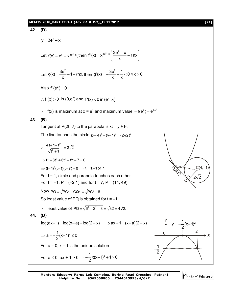#### **MEAITS 2018\_PART TEST-1 (Adv P-1 & P-2)\_19.11.2017** [ **27** ]

42. (D)  
\n
$$
y = 3e^2 - x
$$
  
\nLet  $f(x) = x^y = x^{2e^x - x}$ , then  $f'(x) = x^{2e^x - x} \left(\frac{3e^2 - x}{x} - \ln x\right)$   
\nLet  $g(x) = \frac{3e^2}{x} - 1 - \ln x$ , then  $g'(x) = -\frac{3e^2}{x} - \frac{1}{x} < 0 \forall x > 0$   
\nAlso  $f'(e^2) = 0$   
\n∴  $f'(x) > 0$  in  $(0, e^2)$  and  $f'(x) < 0$  in  $(e^2, \infty)$   
\n∴  $f(x)$  is maximum at  $x = e^2$  and maximum value =  $f(e^2) = e^{4e^2}$   
\n43. (B)  
\nTangent at  $P(2t, t^2)$  to the parabola is  $xt = y + t^2$ .  
\nThe line touches the circle  $(x - 4)^2 + (y + 1)^2 = (2\sqrt{2})^2$   
\n∴  $\frac{|4t + 1 - t^2|}{\sqrt{t^2 + 1}} = 2\sqrt{2}$   
\n⇒  $t^4 - 8t^3 + 6t^2 + 8t - 7 = 0$   
\n⇒  $(t - 1)^2(t + 1)(t - 7) = 0 \Rightarrow t = 1, -1$  or 7.  
\nFor  $t = -1$ ,  $P = (-2, 1)$  and for  $t = 7$ ,  $P = (14, 49)$ .  
\nNow  $PQ = \sqrt{PC^2 - CQ^2} = \sqrt{PC^2 - 8}$   
\nSo least value of  $PQ$  is obtained for  $t = -1$ .  
\n∴ least value of  $PQ = \sqrt{6^2 + 2^2 - 8} = \sqrt{32} = 4\sqrt{2}$ .  
\n44. (D)  
\n $log(ax + 1) = log(x - a) + log(2 - x)$  ⇒  $ax + 1 = (x - a)(2 - x)$   
\n⇒  $a = -\frac{1}{2}(x - 1)^2 \le 0$   
\nFor  $a = 0$ ,  $x = 1$  is the unique solution  
\nFor  $a < 0$ ,  $ax +$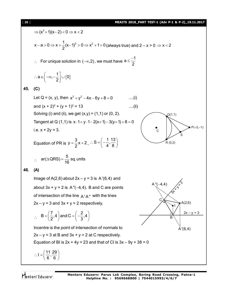#### [ **28** ] **MEAITS 2018\_PART TEST-1 (Adv P-1 & P-2)\_19.11.2017**

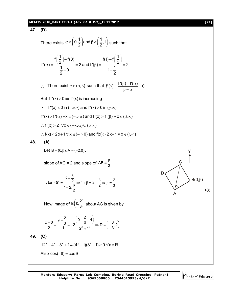# **MEAITS 2018\_PART TEST-1 (Adv P-1 & P-2)\_19.11.2017** [ **29** ]

47. (D)  
\nThere exists 
$$
\alpha \in (0, \frac{1}{2})
$$
 and  $\beta \in (\frac{1}{2}, 1)$  such that  
\n $f'(\alpha) = \frac{f(\frac{1}{2}) - f(0)}{1 - 0} = 2$  and  $f'(\beta) = \frac{f(1) - f(\frac{1}{2})}{1 - \frac{1}{2}} = 2$   
\n $\therefore$  There exist  $\gamma \in (\alpha, \beta)$  such that  $f''(\gamma) = \frac{f'(\beta) - f(\alpha)}{\beta - \alpha} = 0$   
\nBut  $f'''(x) > 0 \Rightarrow f''(x)$  is increasing  
\n $\therefore$   $f''(x) < 0$  in  $(-\infty, \gamma)$  and  $f''(x) > 0$  in  $(\gamma, \infty)$   
\n $f'(x) > f'(\alpha) \forall x \in (-\infty, \alpha)$  and  $f'(x) > f'(\beta) \forall x \in (\beta, \infty)$   
\n $\therefore f'(x) > 2 \forall x \in (-\infty, \alpha) \cup (\beta, \infty)$   
\n $\therefore f(x) < 2x + 1 \forall x \in (-\infty, 0)$  and  $f(x) > 2x + 1 \forall x \in (1, \infty)$   
\n48. (A)  
\nLet  $B = (0, \beta)$ .  $A = (-2, 0)$ .  
\n $\therefore$  tan45<sup>o</sup> =  $\frac{2 - \frac{\beta}{2}}{1 + 2 \cdot \frac{\beta}{2}} \Rightarrow 1 + \beta = 2 - \frac{\beta}{2} \Rightarrow \beta = \frac{2}{3}$   
\n $\therefore$  tan45<sup>o</sup> =  $\frac{2 - \frac{\beta}{2}}{1 + 2 \cdot \frac{\beta}{2}} \Rightarrow 1 + \beta = 2 - \frac{\beta}{2} \Rightarrow \beta = \frac{2}{3}$   
\nNow image of  $B(0, \frac{2}{3})$  about AC is given by  
\n $\frac{x - 0}{2} = \frac{y - \frac{2}{3}}{-1} = -2\frac{(0 - \frac{2}{3} + 4)}{-2} = D = \frac{6}{3} \cdot 2$   
\n49. (C)  
\n $12^x - 4^x - 3^x$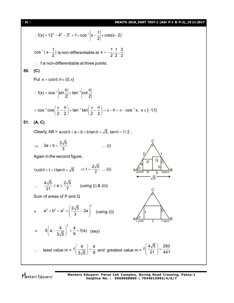# [ **30** ] **MEAITS 2018\_PART TEST-1 (Adv P-1 & P-2)\_19.11.2017**

$$
\therefore f(x) = 12^{x} - 4^{x} - 3^{x} + 1 + \cos^{-1} |x - \frac{1}{2}| + \cos(x - 2)
$$
\n
$$
\cos^{-1} |x - \frac{1}{2}| \text{ is non-differentiable at } x = -\frac{1}{2}, \frac{1}{2}, \frac{3}{2}
$$
\n
$$
\therefore \text{ f is non-differentiable at three points.}
$$
\n**50.** (C)\nPut  $x = \cos \theta$ ,  $\theta \in (0, \pi]$ \n
$$
\therefore f(x) = \cos^{-1} |\sin \frac{\theta}{2}| + \tan^{-1} |\cot \frac{\theta}{2}|
$$
\n
$$
= \cos^{-1} \cos \left(\frac{\pi}{2} - \frac{\theta}{2}\right) + \tan^{-1} \tan \left(\frac{\pi}{2} - \frac{\theta}{2}\right) = \pi - \theta = \pi - \cos^{-1} x, \ x \in [-1, 1)
$$
\n**51.** (A, C)\nClearly, AB =  $a \cot \theta + a + b + b \tan \theta = \sqrt{5}, \ \tan \theta = 1/2$ ,\n
$$
\Rightarrow 2a + b = \frac{2\sqrt{5}}{3} \qquad \qquad \dots \text{ (i)}
$$
\nAgain in the second figure,\n
$$
\cot \theta + t + t \tan \theta = \sqrt{5} \qquad \Rightarrow t = \frac{2\sqrt{5}}{7} \qquad \qquad \dots \text{ (ii)}
$$
\n
$$
\therefore \frac{4\sqrt{5}}{21} \le a \le \frac{2\sqrt{5}}{7} \qquad \qquad \text{(using (i) 8 (ii))}
$$
\nSum of areas of P and Q\n
$$
= a^{2} + b^{2} = a^{2} + \left(\frac{2\sqrt{5}}{3} - 2a\right)^{2} \qquad \qquad \text{(using (i))}
$$
\n
$$
\Rightarrow \left(a - \frac{4}{3\sqrt{5}}\right)^{2} + \frac{4}{9} = f(a) \quad \text{(say)}
$$
\n
$$
\therefore \text{ least value } m = f\left(\frac{4}{3\sqrt{5}}\right) = \frac{4}{9} \text{ and greatest value } m = f\left(\frac{4\sqrt{5}}{21}\right) = \frac{260}{441}
$$

Mentors<sup>e</sup> Eduserv<sup>-</sup>

**Mentors Eduserv: Parus Lok Complex, Boring Road Crossing, Patna-1 Helpline No. : 9569668800 | 7544015993/4/6/7**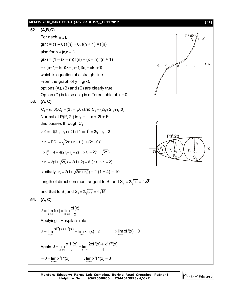#### **MEAITS 2018\_PART TEST-1 (Adv P-1 & P-2)\_19.11.2017** [ **31** ]

52. **(A,B,C)**  
\nFor each n ∈ I,  
\n
$$
g(n) = (1-0) f(n) + 0. f(n + 1) = f(n)
$$
  
\nalso for x ∈ [n,n+1),  
\n $g(x) = (1 - (x - n)) f(n) + (x - n) f(n + 1)$   
\n=  $((n+1) - f(n))x + (n+1) f(n) - nf(n+1)$   
\nwhich is equation of a straight line.  
\nFrom the graph of y = g(x),  
\noption (A), (B) and (C) are clearly true.  
\nOrb (D) is false as g is differentiable at x = 0.  
\n53. **(A, C)**  
\n $C_1 = (r_1, 0), C_2 = (2r_1 + r_2, 0)$  and  $C_3 = (2r_1 + 2r_2 + r_3, 0)$   
\nNormal at P(t<sup>2</sup>, 2t) is y = -tx + 2t + t<sup>3</sup>  
\nthis passes through C<sub>2</sub>  
\n∴ C<sub>2</sub> = PC<sub>2</sub> =  $\sqrt{(2r_1 + r_2 + t^2)^2 + (2t - 0)^2}$   
\n⇒  $r_2^2 = 4 + 4(2r_1 + r_2 - 2) \Rightarrow r_2 = 2(1 \pm \sqrt{2r_1})$   
\n∴  $r_2 = 2(1 + \sqrt{2r_1}) - 2(1 + 2) = 6$  (∴  $r_2 > r_1 = 2$ )  
\nsimilarity,  $r_3 = 2(1 + \sqrt{2(r_1 + r_2)}) = 2 (1 + 4) = 10$ .  
\nlength of direct common tangent to S, and S<sub>3</sub> =  $2\sqrt{r_2r_3} = 4\sqrt{3}$   
\nand that to S<sub>2</sub> and S<sub>3</sub> =  $2\sqrt{r_2r_3} = 4\sqrt{15}$   
\n54. **(A, C)**  
\n
$$
f = \lim_{x \to \infty} f(x) = \lim_{x \to \infty} \frac{xf(x)}{x}
$$
  
\nApplying L'Hospital's rule  
\n
$$
f = \lim_{x \to \infty} \frac{xf'(x) + f(x)}{1} = \lim_{x \to \infty} xf'(x) + f' \implies \lim_{x \
$$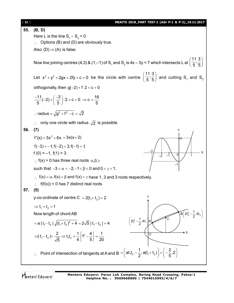| $[32]$ | MEAITS 2018_PART TEST-1 (Adv P-1 & P-2)_19.11.2017                                                                                                                                     |
|--------|----------------------------------------------------------------------------------------------------------------------------------------------------------------------------------------|
| 55.    | (B, D)                                                                                                                                                                                 |
|        | Here L is the line $S_1 - S_2 = 0$                                                                                                                                                     |
|        | Options (B) and (D) are obviously true.                                                                                                                                                |
|        | Also $(D) \Rightarrow (A)$ is false.                                                                                                                                                   |
|        | Now line joining centres (4,3) & (1,-1) of S <sub>1</sub> and S <sub>2</sub> is 4x – 3y = 7 which intersects L at $\left(\frac{11}{5}, \frac{3}{5}\right)$                             |
|        | Let $x^2 + y^2 + 2gx + 2fy + c = 0$ be the circle with centre $\left(\frac{11}{5}, \frac{3}{5}\right)$ and cutting S <sub>1</sub> and S <sub>2</sub>                                   |
|        | orthogonally, then $g(-2) + f \cdot 2 = c + 0$                                                                                                                                         |
|        | $\frac{-11}{5}(-2) + \left(\frac{-3}{5}\right) \cdot 2 = c + 0 \Rightarrow c = \frac{16}{5}$                                                                                           |
|        | $\therefore$ radius = $\sqrt{g^2 + f^2 - c} = \sqrt{2}$                                                                                                                                |
|        | $\therefore$ only one circle with radius $\sqrt{2}$ is possible.                                                                                                                       |
| 56.    | (7)                                                                                                                                                                                    |
|        | $f'(x) = 3x^2 + 6x = 3x(x+2)$                                                                                                                                                          |
|        | $f(-3) = -1$ , $f(-2) = 3$ , $f(-1) = 1$ ,                                                                                                                                             |
|        | -3<br>$f(0) = -1, f(1) = 3$<br>0                                                                                                                                                       |
|        | $\therefore$ f(x) = 0 has three real roots $\alpha, \beta, \gamma$                                                                                                                     |
|        | such that $-3 < \alpha < -2, -1 < \beta < 0$ and $0 < \gamma < 1$ .                                                                                                                    |
|        | $\therefore$ f(x) = $\alpha$ , f(x) = $\beta$ and f(x) = $\gamma$ have 1, 3 and 3 roots respectively.<br>$\therefore$ f(f(x)) = 0 has 7 distinct real roots                            |
| 57     | (5)                                                                                                                                                                                    |
|        | y-co-ordinate of centre $C = 2(t_1 + t_2) = 2$                                                                                                                                         |
|        | $\Rightarrow$ t <sub>1</sub> + t <sub>2</sub> = 1                                                                                                                                      |
|        | $\sqrt{B}$ 2t <sup>2</sup> <sub>2</sub> - $\frac{1}{2}$ , 4t <sub>2</sub><br>Now length of chord AB                                                                                    |
|        | C<br>$\left(2t_1^2-\frac{1}{2},4t_1\right)$<br>$=$ a   t <sub>1</sub> – t <sub>2</sub>   $\sqrt{(t_1 + t_2)^2 + 4} = 2\sqrt{5}$   t <sub>1</sub> – t <sub>2</sub>   = 4                |
|        | $\star$ X<br>$\Rightarrow$ $ t_1-t_2  = \frac{2}{\sqrt{5}} \Rightarrow t_1t_2 = \frac{1}{4}\left\{1^2 - \frac{4}{5}\right\} = \frac{1}{20}$<br>O                                       |
|        | Point of intersection of tangents at A and B = $\left($ at <sub>1</sub> t <sub>2</sub> - $\frac{1}{2}$ , a(t <sub>1</sub> +t <sub>2</sub> ) $\right) = \left( -\frac{2}{5}, 2 \right)$ |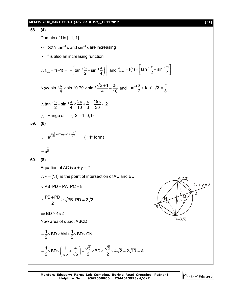33. (4)  
\n58. (4)  
\nDomain of f is [-1, 1].  
\n
$$
\therefore
$$
 both  $\tan^{-1} x$  and  $\sin^{-1} x$  are increasing  
\n $\therefore f_{mn} = f(-1) = \left[ -(\tan^{-1} \frac{\pi}{2} + \sin^{-1} \frac{\pi}{4}) \right]$  and  $f_{max} = f(1) = [\tan^{-1} \frac{\pi}{2} + \sin^{-1} \frac{\pi}{4}]$   
\nNow  $\sin^{-1} \frac{\pi}{4} < \sin^{-1} 0.79 < \sin^{-1} \frac{\sqrt{5} + 1}{4} = \frac{3\pi}{10}$  and  $\tan^{-1} \frac{\pi}{2} < \tan^{-1} \sqrt{3} = \frac{\pi}{3}$   
\n $\therefore \tan^{-1} \frac{\pi}{2} + \sin^{-1} \frac{\pi}{4} < \frac{3\pi}{10} + \frac{\pi}{3} = \frac{19\pi}{30} < 2$   
\n $\therefore$  Range of  $f = \{-2, -1, 0, 1\}$   
\n59. (6)  
\n $f = e^{\frac{\ln n}{2}(\tan^{-1} \frac{\pi}{3} + \sin^2 \frac{\pi}{3})}$  ( $\because f$  form)  
\n $= e^{\frac{\pi}{2}}$   
\n60. (8)  
\nEquation of AC is  $x + y = 2$ .  
\n $\therefore P = (1, 1)$  is the point of intersection of AC and BD  
\n $\therefore PB \cdot PD = PA \cdot PC = 8$   
\n $\therefore \frac{PB \cdot PD}{2} = \sqrt{PB \cdot PD} = 2\sqrt{2}$   
\n $\Rightarrow BD \ge 4\sqrt{2}$   
\nNow area of quad. ABCD  
\n $= \frac{1}{2} \times BD \times AM + \frac{1}{2} \times BD \times CN$   
\n $= \frac{1}{2} \times BD \times \left(\frac{1}{\sqrt{5}} + \frac{4}{\sqrt{5}}\right) = \frac{\sqrt{5}}{2} \times BD \ge \frac{\sqrt{5}}{2} \times 4\sqrt{2} = 2\sqrt{10} = A$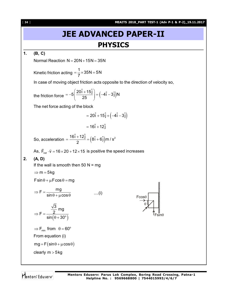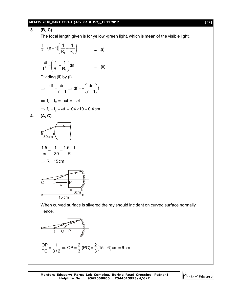## **MEAITS 2018\_PART TEST-1 (Adv P-1 & P-2)\_19.11.2017** [ **35** ]

3. **(B, C)**  
\nThe focal length given is for yellow-green light, which is mean of the visible light.  
\n
$$
\frac{1}{f} = (n-1) \left( \frac{1}{R_1} - \frac{1}{R_2} \right)
$$
 ......(i)  
\n
$$
\frac{-df}{f^2} = \left( \frac{1}{R_1} - \frac{1}{R_2} \right) d\theta
$$
 ......(ii)  
\nDividing (ii) by (i)  
\n
$$
\Rightarrow \frac{-df}{f} = \frac{dn}{n-1} \Rightarrow df = -\left( \frac{dn}{n-1} \right) f
$$
\n
$$
\Rightarrow f_v - f_R = -\omega f = -\omega f
$$
\n
$$
\Rightarrow f_R - f_v = \omega f = .04 \times 10 = 0.4 \text{ cm}
$$
\n4. **(A, C)**  
\n30cm  
\n4. **(A, C)**  
\n30cm  
\n4. **(A, C)**  
\n30cm  
\n4. **(A, C)**  
\n30cm  
\n4. **(A, C)**  
\n5cm  
\n
$$
\frac{1.5}{30 \text{ cm}} - \frac{1}{-30} = \frac{1.5 - 1}{R}
$$
\n
$$
\Rightarrow R = 15 \text{ cm}
$$
\nWhen curved surface is silvered the ray should incident on curved surface normally.  
\nHence,

$$
\frac{OP}{PC} = \frac{1}{3/2} \Rightarrow OP = \frac{2}{3} (PC) = \frac{2}{3} (15 - 6) \text{cm} = 6 \text{cm}
$$

**Mentors Eduserv: Parus Lok Complex, Boring Road Crossing, Patna-1 Helpline No. : 9569668800 | 7544015993/4/6/7**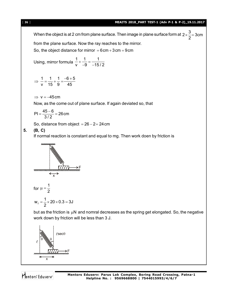[ **36** ] **MEAITS 2018\_PART TEST-1 (Adv P-1 & P-2)\_19.11.2017** When the object is at 2 cm from plane surface. Then image in plane surface form at  $2\times\frac{3}{2}$  = 3cm 2  $\times \frac{6}{6} = 3$ from the plane surface. Now the ray reaches to the mirror. So, the object distance for mirror  $= 6 \text{cm} + 3 \text{cm} = 9 \text{cm}$ Using, mirror formula 1 1 1  $v$   $-9$   $-15/2$  $+\frac{1}{2}=-$ -9 –1 1 1 1  $-6+5$ v 15 9 45  $\Rightarrow$   $\frac{1}{1} = \frac{1}{15} + \frac{1}{2} = \frac{-6 + 5}{15}$  $\Rightarrow$  v = -45cm Now, as the come out of plane surface. If again deviated so, that  $PI = \frac{45-6}{3.48} = 26$  cm 3 / 2  $=\frac{45-6}{212}=2$ So, distance from object  $= 26 - 2 = 24$ cm **5. (B, C)** If normal reaction is constant and equal to mg. Then work doen by friction is F x for 1 2  $\mu =$ f  $W_f = \frac{1}{2} \times 20 \times 0.3 = 3J$ 2  $=\frac{1}{2} \times 20 \times 0.3 = 3$ but as the friction is  $\mu$ N and nomral decreases as the spring get elongated. So, the negative work down by friction will be less than 3 J.

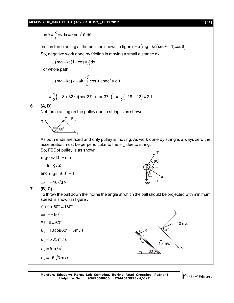#### **MEAITS 2018\_PART TEST-1 (Adv P-1 & P-2)\_19.11.2017** [ **37** ]

$$
\tan \theta = \frac{x}{\ell} \Rightarrow dx = \ell \sec^2 \theta \cdot d\theta
$$

friction force acting at the position shown in figure  $= \mu (mg - k\ell (sec \theta - 1)cos \theta)$ So, negative work done by friction in moving a small distance dx

$$
= \mu \big( mg - k\ell \big( 1 - \cos \theta \big) \big) dx
$$

For whole path

$$
= \mu (mg - k\ell)x + \mu k\ell \int_{0^{\circ}}^{37^{\circ}} \cos\theta \cdot \ell \sec^2\theta \ d\theta
$$

$$
= \frac{1}{2} \{ -18 + 32 \ln (\sec 37^{\circ} + \tan 37^{\circ}) \} = \frac{1}{2} (-18 + 22) = 2J
$$

**6. (A, D)**

Net force acting on the pulley due to string is as shown.



As both ends are fixed and only pulley is moving. As work done by string is always zero the acceleration must be perpendicular to the  $F_{net}$  due to string. So, FBDof pulley is as shown

$$
mg\cos 60^\circ = ma
$$

 $\Rightarrow$  a = g/2

and mgsin60 $\degree$  = T

 $\Rightarrow$  T = 10  $\sqrt{3}$  N



**7. (B, C)**

To throw the ball down the incline the angle at which the ball should be projected with minimum speed is shown in figure .

$$
\theta + \theta + 60^{\circ} = 180^{\circ}
$$
\n
$$
\Rightarrow \theta = 60^{\circ}
$$
\nAs,  $\theta = 60^{\circ}$ ,\n
$$
u_x = 10 \cos 60^{\circ} = 5 \text{ m/s}
$$
\n
$$
u_y = 5\sqrt{3} \text{ m/s}
$$
\n
$$
a_x = 5 \text{ m/s}^2
$$
\n
$$
a_y = -5\sqrt{3} \text{ m/s}^2
$$
\n
$$
a_y = -5\sqrt{3} \text{ m/s}^2
$$
\n
$$
a_y = -5\sqrt{3} \text{ m/s}^2
$$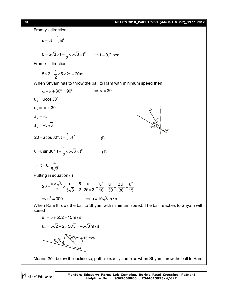## [ **38** ] **MEAITS 2018\_PART TEST-1 (Adv P-1 & P-2)\_19.11.2017**

From y - direction  $s = ut + \frac{1}{2}at^2$ 2  $=$  ut + - $0 = 5\sqrt{3} \times t - \frac{1}{2} \times 5\sqrt{3} \times t^2$  $= 5\sqrt{3} \times t - \frac{1}{2} \times 5\sqrt{3} \times t^2 \implies t = 0,2 \text{ sec}$ From x - direction  $5 \times 2 + \frac{1}{2} \times 5 \times 2^2 = 20$  m 2  $\times$  2 +  $\frac{1}{2}$   $\times$  5  $\times$  2<sup>2</sup> = 2 When Shyam has to throw the ball to Ram with minimum speed then  $\alpha + \alpha + 30^{\circ} = 90^{\circ} \implies \alpha = 30^{\circ}$  $u_x = u \cos 30^\circ$  $u<sub>y</sub> = u sin 30°$  $\overline{3}0^\circ$  $30^\circ$ u  $\alpha$  $\alpha$  $a_x = -5$  $a_{v} = -5\sqrt{3}$ 20 = u cos 30° .t  $-\frac{1}{2}$ 5t<sup>2</sup>  $=$ u $\cos 30^\circ .t - \frac{1}{2}5t^2$  ......(i) 0 = u sin 30 $^{\circ}$  .t  $-\frac{1}{2} \times 5\sqrt{3} \times t^2$  $=$ u sin 30 $^{\circ}$ . t  $-\frac{1}{2} \times 5\sqrt{3} \times t^2$  .......(ii)  $t = 0, \frac{4}{10}$  $5\sqrt{3}$  $\Rightarrow$  t = 0 Putting in equation (i)  $20 = \frac{u \times \sqrt{3}}{2} \times \frac{u}{1} = \frac{5}{2} = \frac{u^2}{25}$ 2  $5\sqrt{3}$  2  $25\times3$  $=\frac{u \times \sqrt{3}}{2} \times \frac{u}{1\sqrt{2}} - \frac{v}{6}$  $\times$  $u^2$   $u^2$   $2u^2$   $u^2$ 10 30 30 15  $=\frac{a}{10} - \frac{a}{20} = \frac{2a}{20} = \frac{1}{2}$  $\Rightarrow u^2 = 300$   $\Rightarrow u = 10\sqrt{3} \text{ m/s}$ When Ram throws the ball to Shyam with minimum speed. The ball reaches to Shyam with speed  $u_x = 5 + 552 = 15$  m / s  $u_y = 5\sqrt{2} - 2 \times 5\sqrt{3} = -5\sqrt{3}$  m / s  $5\sqrt{3}$   $\sqrt{\frac{30}{3}}$  15 m/s

Means  $30^{\circ}$  below the incline so, path is exactly same as when Shyam throw the ball to Ram.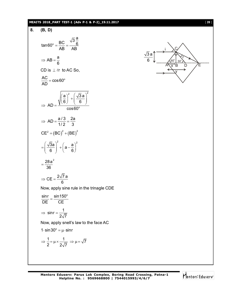# **MEAITS 2018\_PART TEST-1 (Adv P-1 & P-2)\_19.11.2017** [ **39** ]

8. **(B, D)**  
\n
$$
\tan 60^\circ = \frac{BC}{AB} = \frac{\sqrt{3} \frac{a}{6}}{AB}
$$
\n
$$
\Rightarrow AB = \frac{a}{6}
$$
\nCD is 1. *f* r to AC So,  
\n
$$
\frac{AC}{AD} = \cos 60^\circ
$$
\n
$$
\Rightarrow AD = \frac{a/3}{(a)^2 + (\frac{\sqrt{3}a}{6})^2}
$$
\n
$$
\Rightarrow AD = \frac{a/3}{1/2} = \frac{2a}{3}
$$
\n
$$
CE^2 = (BC)^2 + (BE)^2
$$
\n
$$
= (\frac{\sqrt{3}a}{6})^2 + (a - \frac{a}{6})^2
$$
\n
$$
= \frac{28a^2}{36}
$$
\n
$$
\Rightarrow CE = \frac{2\sqrt{7}a}{36}
$$
\nNow, apply sine rule in the triangle CDE  
\n
$$
\frac{\sin r}{DE} = \frac{\sin 150^\circ}{CE}
$$
\n
$$
\Rightarrow \sin r = \frac{1}{2\sqrt{7}}
$$
\nNow, apply snells law to the face AC  
\n1.  $\sin 30^\circ = \mu \cdot \sin r$ \n
$$
\Rightarrow \frac{1}{2} = \mu \times \frac{1}{2\sqrt{7}} \Rightarrow \mu = \sqrt{7}
$$

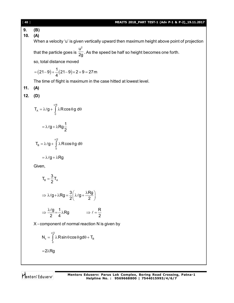[ **40** ] **MEAITS 2018\_PART TEST-1 (Adv P-1 & P-2)\_19.11.2017 9. (B) 10. (A)** When a velocity 'u' is given vertically upward then maximum height above point of projection that the particle goes is  $u^2$  $\overline{2\mathrm{g}}$  . As the speed be half so height becomes one forth. so, total distance moved  $(21-9)+\frac{1}{4}(21-9)\times 2+9=27$  m 4  $=(21-9)+\frac{1}{4}(21-9)\times 2+9=2$ The time of flight is maximum in the case hitted at lowest level. **11. (A) 12. (D)** /6 A 0  $\mathsf{T}_{\mathsf{A}} = \lambda \ell \mathsf{g} + \; \mathsf{I} \; \; \lambda \mathsf{R} \, {\sf cos} \, \theta \, {\sf g} \, {\sf d} \theta$  $\pi$  $= \lambda \ell g + \int \lambda R \cos \theta g d\theta$  $g + \lambda Rg \frac{1}{2}$ 2  $= \lambda \ell g + \lambda F$ /2  $\mathsf{T}_\mathtt{B} = \lambda \ell \mathtt{g} + \int \lambda \mathsf{R} \cos \theta \mathtt{g} \ \mathsf{d} \theta$ 0 π  $= \lambda \ell g + \int \lambda R \cos \theta g d\theta$  $= \lambda \ell g + \lambda Rg$ Given, B ̄ ⌒ 'A  $T_{\rm B} = \frac{3}{2} T_{\rm A}$ 2  $=$  $g + \lambda Rg = \frac{3}{2} \lambda \ell g + \frac{\lambda Rg}{2}$  $\Rightarrow \lambda \ell g + \lambda R g = \frac{3}{2} \left( \lambda \ell g + \frac{\lambda R g}{2} \right)$  $\frac{g}{g} = \frac{1}{4} \lambda$ Rg 2 4  $\Rightarrow \frac{\lambda \ell g}{g} = \frac{1}{\ell} \lambda Rg$   $\Rightarrow \ell = \frac{R}{g}$ 2  $\Rightarrow$   $\ell = \frac{1}{2}$ X - component of normal reaction N is given by /2  $x - \mu$  with our occurred with  $B$ 0  $N_x = \int \lambda R \sin \theta \cos \theta g d\theta + T_g$  $\pi$  $=$   $\int \lambda \mathsf{R} \sin \theta \cos \theta \, \mathsf{g} \mathsf{d} \theta + \mathsf{d} \theta$  $=2\lambda$ Rg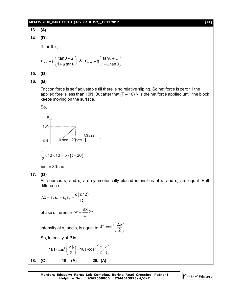#### **MEAITS 2018\_PART TEST-1 (Adv P-1 & P-2)\_19.11.2017** [ **41** ]

**13. (A) 14. (D)** If  $tan \theta > \mu$  $a_{\min} = g \left( \frac{\tan \theta - \mu}{4 + \mu \cosh \theta} \right)$  &  $a_{\max} = g \left( \frac{\tan \theta}{4 + \mu \cosh \theta} \right)$  $1 + \mu \tan \theta$   $\int$   $\cos^2 \theta$   $1 - \mu \tan$  $=g\left(\frac{\tan\theta-\mu}{1+\mu\tan\theta}\right)$  &  $a_{\max}=g\left(\frac{\tan\theta+\mu}{1-\mu\tan\theta}\right)$ **15. (D) 16. (B)** Friction force is self adjustable till there is no relative sliping. So net force is zero till the applied fore is less than 10N. But after that  $(F - 10)$  N is the net force applied untill the block keeps moving on the surface. So, 10N  $-5N$ 10 sec 20sec  $F_{net}$ 

$$
\frac{1}{2} \times 10 \times 10 = 5 \times (t - 20)
$$

 $\Rightarrow$  t = 30 sec

**17. (D)**

As sources  $\mathbf{s}_3$  and  $\mathbf{s}_4$  are symmeterically placed intensities at  $\mathbf{s}_3$  and  $\mathbf{s}_4$  are equal. Path difference

$$
\Delta x = s_2 s_3 - s_1 s_3 = \frac{d(z/2)}{D}
$$

phase difference  $\Delta \phi = \frac{\Delta x}{\lambda} 2 \pi$  $\lambda$ 

Intensity at  $\mathsf{s}_{_{3}}$  and  $\mathsf{s}_{_{4}}$  is equal to  $4$ I $\cdot$ cos $^{2}$  $1 \cdot \cos^2\left(\frac{\Delta \phi}{2}\right)$ 

30sec

t

So, Intensity at P is

16 I 
$$
\cos^2\left(\frac{\Delta\phi}{2}\right) = 16 \text{ I } \cos^2\left(\frac{\pi}{2} \cdot \frac{z}{\beta}\right)
$$
  
18. (C) 19. (A) 20. (A)

**Mentors Eduserv: Parus Lok Complex, Boring Road Crossing, Patna-1 Helpline No. : 9569668800 | 7544015993/4/6/7**

¢

$$
[41]
$$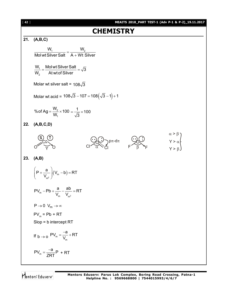**CHAPTERY**  
\n21. (A,B,C)  
\n
$$
\frac{W_1}{Molwt Silver Salt} = \frac{W_2}{A + Wt Silver}
$$
\n
$$
\frac{W_1}{W_2} = \frac{Molwt Silver Salt}{Atwtof Silver} = \sqrt{3}
$$
\nMolar wt silver salt = 108 $\sqrt{3}$   
\nMolar wt acid = 108 $\sqrt{3}$  - 107 = 108( $\sqrt{3}$  - 1) + 1  
\n
$$
\% of Ag = \frac{W_2}{W_1} \times 100 = \frac{1}{\sqrt{3}} \times 100
$$
\n22. (A,B,C,D)  
\n23. (A,B)  
\n
$$
\left(P + \frac{a}{V_{\text{av}}}\right) (V_{\text{av}} - b) = RT
$$
\n
$$
PV_m - Pb + \frac{a}{V_{\text{av}}} - \frac{ab}{V_{\text{av}}} = RT
$$
\n
$$
P \rightarrow 0 \quad V_{\text{av}} \rightarrow \infty
$$
\n
$$
PV_m = Pb + RT
$$
\nSlop = b intercept RT  
\n
$$
PV_m = \frac{-a}{V_m} + RT
$$
\n
$$
PV_m = \frac{-a}{V_m} + RT
$$
\n
$$
PV_m = \frac{-a}{V_m} + RT
$$
\n
$$
PV_m = \frac{-a}{ZRT}P + RT
$$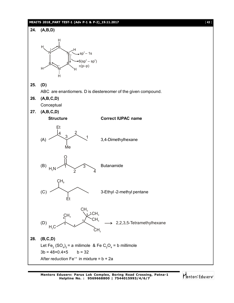#### **MEAITS 2018\_PART TEST-1 (Adv P-1 & P-2)\_19.11.2017** [ **43** ]

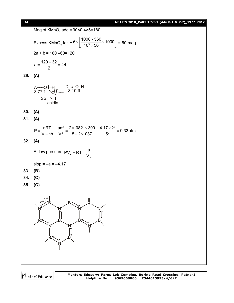#### [ **44** ] **MEAITS 2018\_PART TEST-1 (Adv P-1 & P-2)\_19.11.2017**

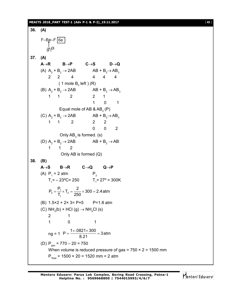#### **MEAITS 2018\_PART TEST-1 (Adv P-1 & P-2)\_19.11.2017** [ **45** ]

**36. (A)** F–Be–F 6e–  $\cdot$   $\in$   $\Theta$ **37. (A)**  $A \rightarrow R$   $B \rightarrow P$   $C \rightarrow S$   $D \rightarrow Q$ (A)  $A_2 + B_2 \rightarrow 2AB$   $AB + B_2 \rightarrow AB_3$ 2 2 4 4 4 4 (1 mole B $_{\rm 2}$  left)(R) (B)  $A_2 + B_2 \rightarrow 2AB$   $AB + B_2 \rightarrow AB_3$ 1 1 2 2 1 1 0 1 Equal mole of AB & AB $_{\textrm{\tiny{\rm{3}}}}$  (P) (C)  $A_2 + B_2 \rightarrow 2AB$   $AB + B_2 \rightarrow AB_3$ 1 1 2 2 2  $0 \qquad 0 \qquad 2$ Only AB $_{\rm 3}$  is formed. (s) (D)  $A_2 + B_2 \rightarrow 2AB$   $AB + B_2 \rightarrow AB$ 1 1 2 Only AB is formed (Q) **38. (B)**  $A \rightarrow S$   $B \rightarrow R$   $C \rightarrow Q$   $Q \rightarrow P$ (A)  $P_1 = 2$  atm  $P_2$  $T_1$ = – 23°C= 250  $T_1$ = 27° = 300K  $T_2 = \frac{11}{7} \times T_2$ 1  $P_2 = \frac{P_1}{T} \times T_2 = \frac{2}{250} \times 300 = 2.4$  atm  $T_1$   $250$  $=\frac{1}{2}\times T_2 = \frac{2}{250}\times 300 = 2$ (B)  $1.5 \times 2 + 2 \times 3 = P \times 5$  P=1.8 atm (C)  $NH<sub>3</sub>(b) + HCl$  (g)  $\rightarrow NH<sub>4</sub>Cl$  (s) 2 1 1 0 1  $ng = 1$  P =  $\frac{1 \times .0821 \times 300}{9.24}$  = 3 atm 8.21  $=\frac{1\times.0821\times 300}{0.04}$  = 3 (D)  $P_{gas}$  = 770 – 20 = 750 When volume is reduced pressure of gas =  $750 \times 2 = 1500$  mm  $P_{\text{Total}}$  = 1500 × 20 = 1520 mm = 2 atm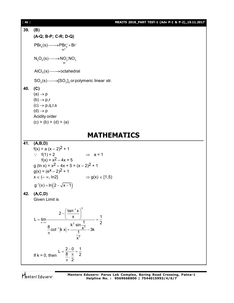[ **46** ] **MEAITS 2018\_PART TEST-1 (Adv P-1 & P-2)\_19.11.2017 39. (B) (A-Q; B-P; C-R; D-Q)**  $5(9)$   $\times 1 = 4$ <br> $\text{sp}^3$  $PBr_{5}(s) \longrightarrow PBr_{4}^{+}+Br^{-}$  $2^{\mathcal{O}_5(\mathcal{O})}$   $\longrightarrow$   $\frac{2^{\mathcal{O}_2(\mathcal{O}_3)}}{5^{\mathcal{O}}}$  $N_2O_5(s) \longrightarrow NO_2^+NO_3^ AICI_3(s) \longrightarrow \text{octahedral}$  $SO_3(s) \longrightarrow [SO_3]_3$  or polymeric linear str. **40. (C)**  $(a) \rightarrow p$  $(b) \rightarrow p,r$  $(c) \rightarrow p,q,r,s$  $(d) \rightarrow p$ Acidity order  $(c)$  > (b) > (d) > (a) **MATHEMATICS 41. (A,B,D)**  $f(x) = a (x - 2)^{2} + 1$  $\therefore$  f(1) = 2  $\Rightarrow$  a = 1  $f(x) = x^2 - 4x + 5$ g (ln x) =  $x^2 - 4x + 5 = (x - 2)^2 + 1$  $g(x) = (e^{x} - 2)^{2} + 1$  $x \in (-\infty, \ln 2]$   $\Rightarrow$  g(x)  $\in$  [1,5)  $g^{-1}(x) = \ln(2 - \sqrt{x} - 1)$ **42. (A,C,D)** Given Limit is  $1\sqrt{3}$  $x \rightarrow \infty$   $\sqrt{2}$  $1|x|$ ,  $x^3$ 3  $2-\frac{\tan^{-1}x}{x}$ L =  $\lim_{x \to \infty}$   $\frac{1}{x^2 \sin 1}$  =  $\frac{1}{2}$  $\frac{8}{\pi}$ cot<sup>-1</sup> |k x| +  $\frac{k^2 \sin \frac{1}{x^3}}{1}$  – 3k x ÷ →∞ ÷  $= \lim \frac{2 - \left(\frac{\tan^{-1} x}{x}\right)^{6}}{1} = \frac{1}{2}$  $+\frac{X}{4}-3$  $\pi$ If  $k = 0$ , then  $L = \frac{2 - 0}{8} = \frac{1}{8}$  $\frac{8}{2}$ .  $\frac{\pi}{2}$  2 2  $=\frac{2-0}{8-\pi}$  $\pi$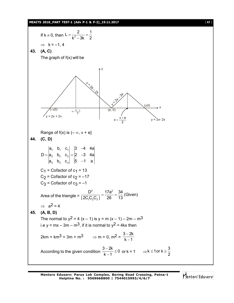#### **MEAITS 2018\_PART TEST-1 (Adv P-1 & P-2)\_19.11.2017** [ **47** ]

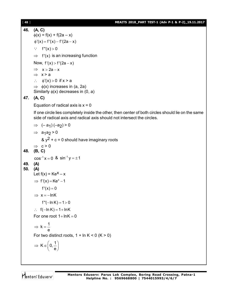#### [ **48** ] **MEAITS 2018\_PART TEST-1 (Adv P-1 & P-2)\_19.11.2017**

**46. (A, C)**  $\phi(x) = f(x) + f(2a - x)$  $\phi'(x) = f'(x) - f'(2a - x)$  $\therefore$  f"(x) > 0  $\Rightarrow$  f'(x) is an increasing function Now,  $f'(x) > f'(2a - x)$  $\Rightarrow$   $x > 2a - x$  $\Rightarrow$  x > a  $\therefore$   $\phi'(x) > 0$  if  $x > a$  $\Rightarrow$   $\phi(x)$  increases in (a, 2a) Similarly  $\phi(x)$  decreases in (0, a) **47. (A, C)** Equation of radical axis is  $x = 0$ If one circle lies completely inside the other, then center of both circles should lie on the same side of radical axis and radical axis should not intersect the circles.  $\Rightarrow$   $(-a_1)(-a_2) > 0$  $\Rightarrow$  a<sub>1</sub>a<sub>2</sub>>0 &  $y^2$  + c = 0 should have imaginary roots  $\Rightarrow$  c > 0 **48. (B, C)**  $\cos^{-1} x = 0$  &  $\sin^{-1} y = \pm 1$ **49. (A) 50. (A)** Let  $f(x) = Ke^{x} - x$  $\Rightarrow$  f'(x) = Ke<sup>x</sup> -1  $f'(x) = 0$  $\Rightarrow$  x = -lnK  $f''(-\ln K) = 1 > 0$  $\therefore$  f(-ln K) = 1 + ln K For one root  $1 + \ln K = 0$  $k = \frac{1}{1}$ e  $\Rightarrow$  k = -For two distinct roots,  $1 + \ln K < 0$  (K  $> 0$ )  $\mathsf{K}\in\left[\,0,\frac{1}{\cdot}\right]$  $\Rightarrow$  K  $\in \left(0, \frac{1}{e}\right)$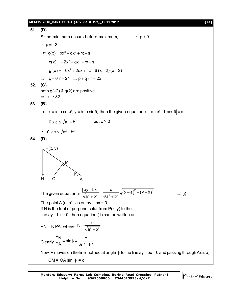#### **MEAITS 2018\_PART TEST-1 (Adv P-1 & P-2)\_19.11.2017** [ **49** ]

**51. (D)** Since minimum occurs before maximum,  $p < 0$  $\therefore$  p = -2 Let  $g(x) = px^3 + qx^2 + rx + s$  $g(x) = -2x^3 + qx^2 + rx + s$  $g'(x) = -6x^2 + 2qx + r \equiv -6(x+2)(x-2)$  $\Rightarrow$  q = 0, r = 24  $\Rightarrow$  p + q + r = 22 **52. (C)** both  $g(-2)$  &  $g(2)$  are positive  $\Rightarrow$  s > 32 **53. (B)** Let  $x = a + r \cos \theta$ ,  $y = b + r \sin \theta$ , then the given equation is  $|a \sin \theta - b \cos \theta| = c$  $\Rightarrow 0 \leq c \leq \sqrt{a^2 + b^2}$  but  $c > 0$  $\therefore$  0 < c  $\leq \sqrt{a^2 + b^2}$ **54. (D)**  $P(x, y)$ M N O A φ The given equation is  $\frac{|dy - bx|}{\sqrt{a^2 + b^2}} = \frac{c}{\sqrt{a^2 + b^2}} \sqrt{(x-a)^2 + (y-b)^2}$  $\frac{|ay-bx|}{\sqrt{a^2+b^2}} = \frac{c}{\sqrt{a^2+b^2}} \sqrt{(x-a)^2 + (y-b)}$  $a^2 + b^2$   $\sqrt{a^2 + b^2}$  $\frac{-bx}{\sqrt{a^2-9}} = \frac{c}{\sqrt{a^2-9}} \sqrt{(x-a)^2 + (y-b)^2}$  $+b^2$   $\sqrt{a^2} + b$ ......(i) The point A  $(a, b)$  lies on  $ay - bx = 0$ If N is the foot of perpendicular from  $P(x, y)$  to the line  $ay - bx = 0$ , then equation (1) can be written as PN = K PA, where  $K = \frac{1}{\sqrt{2^2 + h^2}}$  $K = \frac{c}{\sqrt{c}}$  $a^2 + b^2$  $=$  $^{+}$ Clearly  $\frac{PN}{PA} = \sin \phi = \frac{C}{\sqrt{2^2 + b^2}}$  $PA$   $\sqrt{a^2 + b^2}$  $=$  sin $\phi$  = - $+$ Now, P moves on the line inclined at angle  $\phi$  to the line ay – bx = 0 and passing through A (a, b).  $OM = OA \sin \phi = c$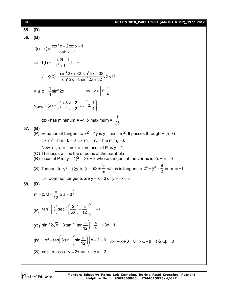[ **50** ] **MEAITS 2018\_PART TEST-1 (Adv P-1 & P-2)\_19.11.2017 55. (D) 56. (B)** 2  $f(cot x) = \frac{\cot^2 x + 2\cot x - 1}{\cot^2 x + 1}$  $\cot^2 x + 1$  $=\frac{\cot^2 x+2\cot x-1}{x^2}$  $\ddot{}$ 2  $f(t) = \frac{t^2 + 2t - 1}{t^2 + 1}$ ,  $t \in R$  $t^2 + 1$  $\implies$  f(t) =  $\frac{t^2 + 2t - 1}{t^2 + 2t - 1}$ , t  $\in$  I  $\ddot{}$  $4.2$   $22$  cin<sup>2</sup>  $g(x) = \frac{\sin^4 2x + 32.\sin^2 2x - 32}{\sin^4 2x - 8\sin^2 2x + 32}, x \in R$  $\sin^4 2x - 8 \sin^2 2x + 32$  $g(x) = \frac{\sin^4 2x + 32 \cdot \sin^2 2x - 32}{140x^2 - 32 \cdot 22 \cdot 22}$ ,  $x \in I$  $-8\sin^2 2x + 3$ Put  $z = \frac{1}{4} \sin^2 2x$ 4  $=$  $z \in \boxed{0, \frac{1}{1}}$  $\Rightarrow$  z  $\in$   $\left[0, \frac{1}{4}\right]$ Now, 2 h (z) =  $\frac{z^2 + 8z - 2}{z^2 - 2z + 2}$ ; z  $\in$  0,  $\frac{1}{4}$  $z^2 - 2z + 2$ ,  $z^2 - 4$  $=\frac{z^2+8z-2}{z^2-2z+2}; z \in \left[0, \frac{1}{4}\right]$  $g(x)$  has minimum =  $-1$  & maximum = 1 25 **57. (B)** (P) Equation of tangent to  $x^2 = 4y$  is  $y = mx - m^2$ . It passes through P (h, k)  $\Rightarrow$  m<sup>2</sup> -hm + k = 0  $\Rightarrow$  m<sub>1</sub> + m<sub>2</sub> = h & m<sub>1</sub>m<sub>2</sub> = k Now,  $m_1 m_2 = 1 \Rightarrow k = 1 \Rightarrow$  locus of P is y = 1 (Q) The locus will be the directrix of the parabola  $(R)$  locus of P is  $(y - 1)^2 = 2x + 3$  whose tangent at the vertex is  $2x + 3 = 0$ (S) Tangent to  $y^2 = 12x$  is  $y = mx + \frac{3}{3}$ = mx +  $\frac{3}{m}$  which is tangent to  $x^2 + y^2 = \frac{9}{2}$  $+ y^2 = \frac{3}{2} \Rightarrow m = \pm 1$  $\Rightarrow$  Common tangents are y = x + 3 or y = -x - 3 **58. (D)** 1 m = 0, M =  $\frac{\pi}{10}$  & a = 3<sup>4</sup> 12  $= 0, M = \frac{\pi}{48}$  & a = 3 (P)  $\tan^{-1}\left(3\left(\sec^{-1}\left(\frac{2}{\sqrt{2}}\right)+\frac{\pi}{10}\right)\right)=-1$ 3 / 12  $\pi$  |  $\left(2\right)$  con<sup>-1</sup>(2),  $\pi$ )|  $\left[3\right]\sec^{-1}\left(\frac{2}{\sqrt{3}}\right)+\frac{\pi}{12}\right)\right]=-1$ (Q)  $\sin^{-1} 2\sqrt{x} = 3 \tan^{-1} \left( \tan \frac{\pi}{12} \right) = \frac{\pi}{4} \implies 8x = 1$  $-12\sqrt{x}$  = 3 tan<sup>-1</sup>  $\left(\tan \frac{\pi}{12}\right)$  =  $\frac{\pi}{4}$  ⇒ 8x = 1 (R)  $x^2 - \tan \left( 3 \sin^{-1} \left( \sin \frac{\pi}{12} \right) \right) x + 3 = 0$  $-\tan\left(3\sin^{-1}\left(\sin\frac{\pi}{12}\right)\right)x+3=0 \Rightarrow x^2-x+3=0 \Rightarrow \alpha+\beta=1$  &  $\alpha\beta=3$ (S)  $\cos^{-1} x + \cos^{-1} y = 2\pi \implies x + y = -2$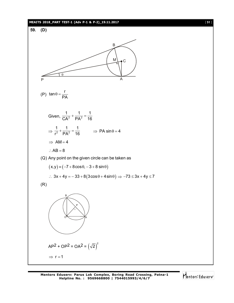#### **MEAITS 2018\_PART TEST-1 (Adv P-1 & P-2)\_19.11.2017** [ **51** ]